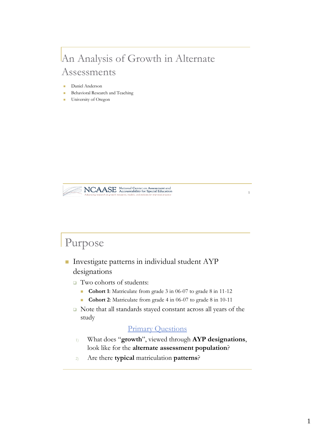#### An Analysis of Growth in Alternate Assessments

- Daniel Anderson
- Behavioral Research and Teaching
- University of Oregon



#### Purpose

- **Investigate patterns in individual student AYP** designations
	- □ Two cohorts of students:
		- **Cohort 1**: Matriculate from grade 3 in 06-07 to grade 8 in 11-12
		- **Cohort 2**: Matriculate from grade 4 in 06-07 to grade 8 in 10-11
	- Note that all standards stayed constant across all years of the study

#### Primary Questions

- 1) What does "**growth**", viewed through **AYP designations**, look like for the **alternate assessment population**?
- 2) Are there **typical** matriculation **patterns**?

1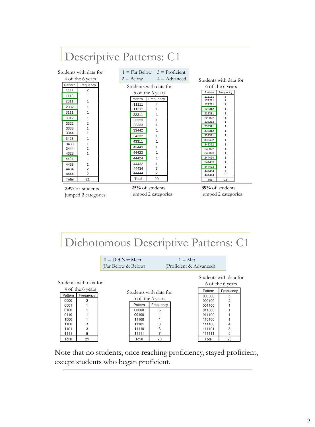

Dichotomous Descriptive Patterns: C1

|                        |         |                  | $0 = Did Not Meet$<br>(Far Below & Below) |         |                        | $1 = Met$<br>(Proficient & Advanced) |                                            |           |  |
|------------------------|---------|------------------|-------------------------------------------|---------|------------------------|--------------------------------------|--------------------------------------------|-----------|--|
| Students with data for |         |                  |                                           |         |                        |                                      | Students with data for<br>6 of the 6 years |           |  |
|                        |         | 4 of the 6 years |                                           |         | Students with data for |                                      | Pattern                                    | Frequency |  |
|                        | Pattern | Frequency        | 5 of the 6 years                          |         |                        |                                      | 000000                                     | 5         |  |
|                        | 0000    | 2                |                                           |         |                        |                                      | 000100                                     |           |  |
|                        | 0001    |                  |                                           | Pattern | Frequency              |                                      | 001100                                     |           |  |
|                        | 0100    |                  |                                           | 00000   | 5                      |                                      | 011000                                     |           |  |
|                        | 0110    |                  |                                           | 00100   |                        |                                      | 011100                                     |           |  |
|                        | 1000    |                  |                                           | 11100   |                        |                                      | 110100                                     |           |  |
|                        | 1100    | 3                |                                           | 11101   | 3                      |                                      | 111100                                     | 4         |  |
|                        | 1101    | 3                |                                           | 11110   | 3                      |                                      | 111101                                     | 3         |  |
|                        | 1111    | 9                |                                           | 11111   |                        |                                      | 111111                                     | 5         |  |
|                        | Total   | 21               |                                           | Total   | 20                     |                                      | Total                                      | 23        |  |

Note that no students, once reaching proficiency, stayed proficient, except students who began proficient.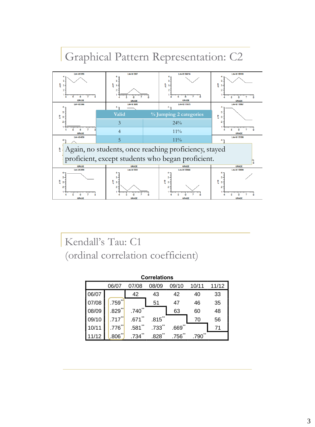## Graphical Pattern Representation: C2



Kendall's Tau: C1 (ordinal correlation coefficient)

| <b>Correlations</b> |                                                    |            |            |      |      |    |  |  |  |
|---------------------|----------------------------------------------------|------------|------------|------|------|----|--|--|--|
|                     | 11/12<br>07/08<br>09/10<br>10/11<br>08/09<br>06/07 |            |            |      |      |    |  |  |  |
| 06/07               |                                                    | 42         | 43         | 42   | 40   | 33 |  |  |  |
| 07/08               | **<br>.759                                         |            | 51         | 47   | 46   | 35 |  |  |  |
| 08/09               | .829                                               | **<br>.740 |            | 63   | 60   | 48 |  |  |  |
| 09/10               | .717                                               | .671       | $.815$ **  |      | 70   | 56 |  |  |  |
| 10/11               | .776                                               | .581       | .733       | .669 |      | 71 |  |  |  |
| 1/12                | .806                                               | .734       | **<br>.828 | .756 | .790 |    |  |  |  |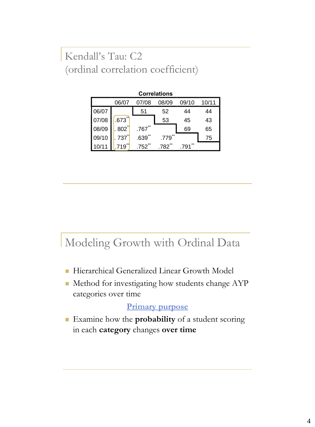Kendall's Tau: C2 (ordinal correlation coefficient) 09/10 .717\*\* .671\*\* .815\*\* 70 56  $\mathcal{A}$ 

| <b>Correlations</b>                       |                      |                   |               |       |    |  |  |  |
|-------------------------------------------|----------------------|-------------------|---------------|-------|----|--|--|--|
| 07/08<br>10/11<br>08/09<br>09/10<br>06/07 |                      |                   |               |       |    |  |  |  |
| 06/07                                     |                      | 51                | 52            | 44    | 44 |  |  |  |
| 07/08                                     | $\star\star$<br>.673 |                   | 53            | 45    | 43 |  |  |  |
| 08/09                                     | .802                 | $.767$ $*$        |               | 69    | 65 |  |  |  |
| 09/10                                     | 737]                 | .639              | $***$<br>.779 |       | 75 |  |  |  |
|                                           | 719                  | .752 <sup>°</sup> | 782           | $***$ |    |  |  |  |

#### Modeling Growth with Ordinal Data

- Hierarchical Generalized Linear Growth Model
- Method for investigating how students change AYP categories over time

#### **Primary purpose**

 Examine how the **probability** of a student scoring in each **category** changes **over time**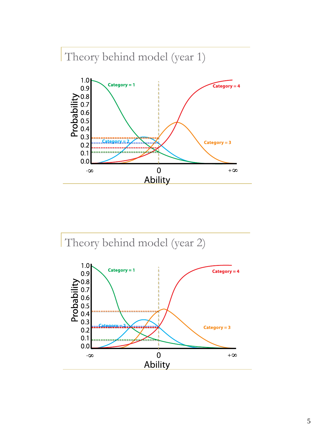# Theory behind model (year 1)



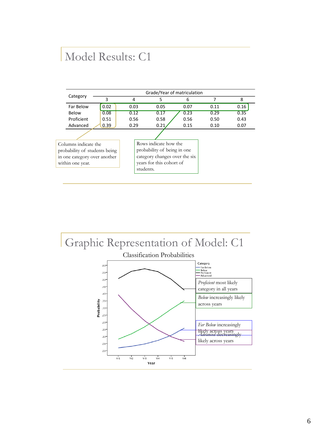### Model Results: C1

|                                                                                                           |      | Grade/Year of matriculation |                                                                                                                   |      |      |      |  |  |  |
|-----------------------------------------------------------------------------------------------------------|------|-----------------------------|-------------------------------------------------------------------------------------------------------------------|------|------|------|--|--|--|
| Category                                                                                                  | 3    | 4                           | 5                                                                                                                 | 6    | 7    | 8    |  |  |  |
| Far Below                                                                                                 | 0.02 | 0.03                        | 0.05                                                                                                              | 0.07 | 0.11 | 0.16 |  |  |  |
| Below                                                                                                     | 0.08 | 0.12                        | 0.17                                                                                                              | 0.23 | 0.29 | 0.35 |  |  |  |
| Proficient                                                                                                | 0.51 | 0.56                        | 0.58                                                                                                              | 0.56 | 0.50 | 0.43 |  |  |  |
| Advanced                                                                                                  | 0.39 | 0.29                        | 0.21                                                                                                              | 0.15 | 0.10 | 0.07 |  |  |  |
|                                                                                                           |      |                             |                                                                                                                   |      |      |      |  |  |  |
| Columns indicate the<br>probability of students being<br>in one category over another<br>within one year. |      | students.                   | Rows indicate how the<br>probability of being in one<br>category changes over the six<br>years for this cohort of |      |      |      |  |  |  |
|                                                                                                           |      |                             |                                                                                                                   |      |      |      |  |  |  |

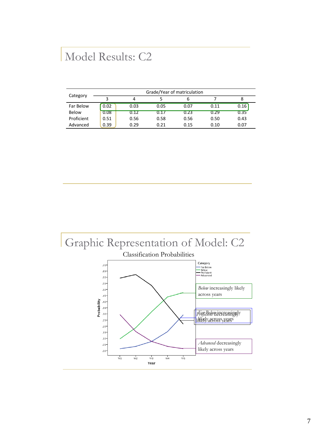#### Model Results: C2

| Category   | Grade/Year of matriculation |      |      |      |      |      |  |  |
|------------|-----------------------------|------|------|------|------|------|--|--|
|            |                             |      |      |      |      |      |  |  |
| Far Below  | 0.02                        | 0.03 | 0.05 | 0.07 | 0.11 | 0.16 |  |  |
| Below      | 0.08                        | 0.12 | 0.17 | 0.23 | 0.29 | 0.35 |  |  |
| Proficient | 0.51                        | 0.56 | 0.58 | 0.56 | 0.50 | 0.43 |  |  |
| Advanced   | 0.39                        | 0.29 | 0.21 | 0.15 | 0.10 | 0.07 |  |  |

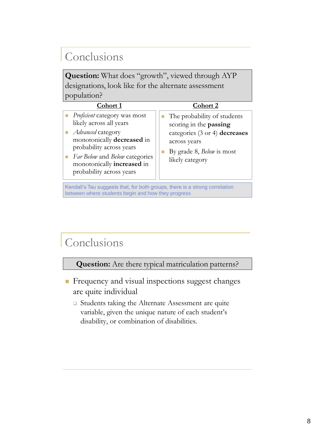## Conclusions

**Question:** What does "growth", viewed through AYP designations, look like for the alternate assessment population?

| Cohort 1                                                                                                                                                                                                                                                                | Cohort 2                                                                                                                                                      |
|-------------------------------------------------------------------------------------------------------------------------------------------------------------------------------------------------------------------------------------------------------------------------|---------------------------------------------------------------------------------------------------------------------------------------------------------------|
| Proficient category was most<br>likely across all years<br>Advanced category<br>$\mathcal{L}_{\mathcal{A}}$<br>monotonically decreased in<br>probability across years<br>Far Below and Below categories<br>m.<br>monotonically increased in<br>probability across years | The probability of students<br>scoring in the passing<br>categories (3 or 4) decreases<br>across years<br>By grade 8, <i>Below</i> is most<br>likely category |

Kendall's Tau suggests that, for both groups, there is a strong correlation between where students begin and how they progress

### Conclusions

**Question:** Are there typical matriculation patterns?

- **Frequency and visual inspections suggest changes** are quite individual
	- □ Students taking the Alternate Assessment are quite variable, given the unique nature of each student's disability, or combination of disabilities.